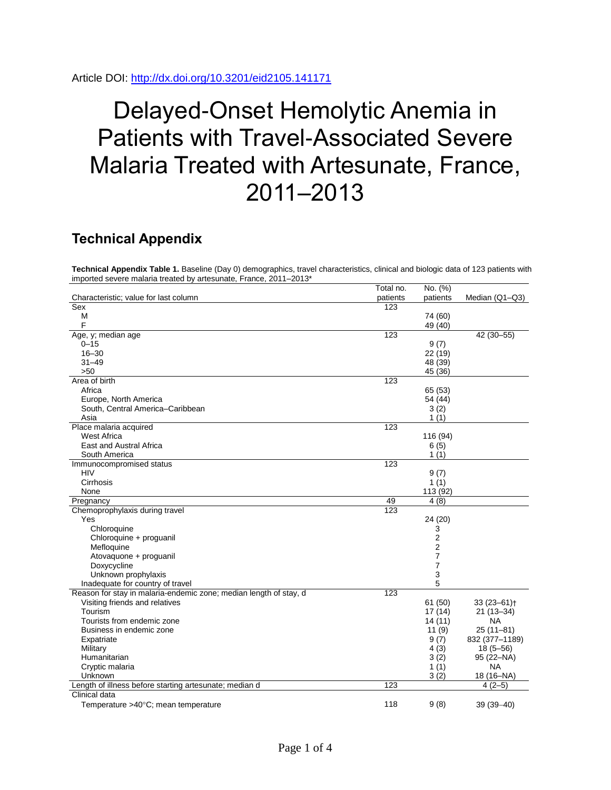Article DOI:<http://dx.doi.org/10.3201/eid2105.141171>

## Delayed-Onset Hemolytic Anemia in Patients with Travel-Associated Severe Malaria Treated with Artesunate, France, 2011–2013

## **Technical Appendix**

**Technical Appendix Table 1.** Baseline (Day 0) demographics, travel characteristics, clinical and biologic data of 123 patients with imported severe malaria treated by artesunate, France, 2011–2013\*

|                                                                   | Total no. | No. (%)  |                            |
|-------------------------------------------------------------------|-----------|----------|----------------------------|
| Characteristic; value for last column                             | patients  | patients | Median (Q1-Q3)             |
| Sex                                                               | 123       |          |                            |
| М                                                                 |           | 74 (60)  |                            |
| F                                                                 |           | 49 (40)  |                            |
| Age, y; median age                                                | 123       |          | 42 (30-55)                 |
| $0 - 15$                                                          |           | 9(7)     |                            |
| $16 - 30$                                                         |           | 22 (19)  |                            |
| $31 - 49$                                                         |           | 48 (39)  |                            |
| $>50$                                                             |           | 45 (36)  |                            |
| Area of birth                                                     | 123       |          |                            |
| Africa                                                            |           | 65 (53)  |                            |
| Europe, North America                                             |           | 54 (44)  |                            |
| South, Central America-Caribbean                                  |           | 3(2)     |                            |
| Asia                                                              |           | 1(1)     |                            |
| Place malaria acquired                                            | 123       |          |                            |
| <b>West Africa</b>                                                |           | 116 (94) |                            |
| <b>East and Austral Africa</b>                                    |           | 6(5)     |                            |
| South America                                                     |           | 1(1)     |                            |
|                                                                   | 123       |          |                            |
| Immunocompromised status                                          |           |          |                            |
| HIV<br>Cirrhosis                                                  |           | 9(7)     |                            |
|                                                                   |           | 1(1)     |                            |
| None                                                              |           | 113 (92) |                            |
| Pregnancy                                                         | 49        | 4(8)     |                            |
| Chemoprophylaxis during travel                                    | 123       |          |                            |
| Yes                                                               |           | 24 (20)  |                            |
| Chloroquine                                                       |           | 3        |                            |
| Chloroquine + proguanil                                           |           | 2        |                            |
| Mefloquine                                                        |           | 2        |                            |
| Atovaquone + proguanil                                            |           | 7        |                            |
| Doxycycline                                                       |           | 7        |                            |
| Unknown prophylaxis                                               |           | 3        |                            |
| Inadequate for country of travel                                  |           | 5        |                            |
| Reason for stay in malaria-endemic zone; median length of stay, d | 123       |          |                            |
| Visiting friends and relatives                                    |           | 61 (50)  | $33(23 - 61)$ <sup>+</sup> |
| Tourism                                                           |           | 17(14)   | $21(13 - 34)$              |
| Tourists from endemic zone                                        |           | 14(11)   | <b>NA</b>                  |
| Business in endemic zone                                          |           | 11(9)    | $25(11-81)$                |
| Expatriate                                                        |           | 9(7)     | 832 (377-1189)             |
| Military                                                          |           | 4(3)     | $18(5 - 56)$               |
| Humanitarian                                                      |           | 3(2)     | 95 (22-NA)                 |
| Cryptic malaria                                                   |           | 1(1)     | <b>NA</b>                  |
| Unknown                                                           |           | 3(2)     | 18 (16-NA)                 |
| Length of illness before starting artesunate; median d            | 123       |          | $4(2-5)$                   |
| Clinical data                                                     |           |          |                            |
| Temperature >40°C; mean temperature                               | 118       | 9(8)     | $39(39 - 40)$              |
|                                                                   |           |          |                            |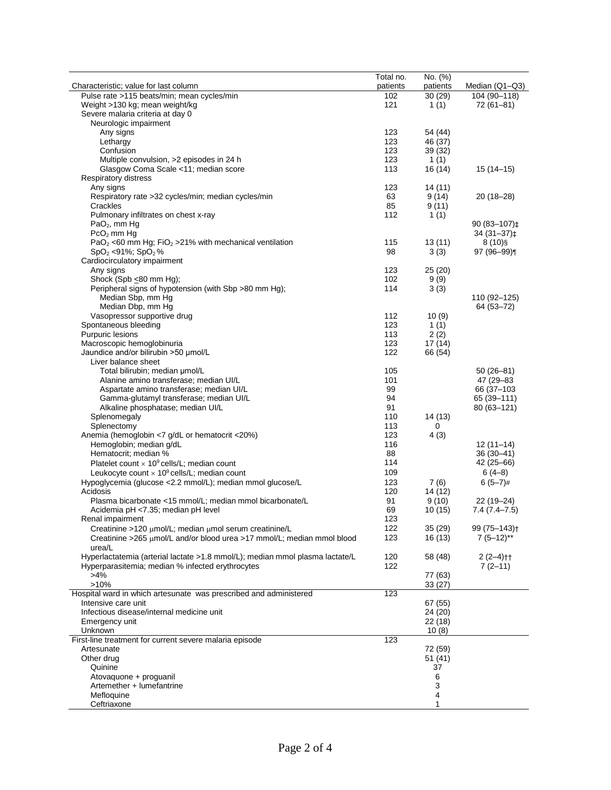|                                                                                                            | Total no. | No. (%)          |                          |
|------------------------------------------------------------------------------------------------------------|-----------|------------------|--------------------------|
| Characteristic; value for last column                                                                      | patients  | patients         | Median (Q1-Q3)           |
| Pulse rate >115 beats/min; mean cycles/min                                                                 | 102       | 30(29)           | 104 (90-118)             |
| Weight >130 kg; mean weight/kg                                                                             | 121       | 1(1)             | $72(61-81)$              |
| Severe malaria criteria at day 0                                                                           |           |                  |                          |
| Neurologic impairment<br>Any signs                                                                         | 123       | 54 (44)          |                          |
| Lethargy                                                                                                   | 123       | 46 (37)          |                          |
| Confusion                                                                                                  | 123       | 39 (32)          |                          |
| Multiple convulsion, >2 episodes in 24 h                                                                   | 123       | 1(1)             |                          |
| Glasgow Coma Scale <11; median score                                                                       | 113       | 16 (14)          | $15(14-15)$              |
| Respiratory distress                                                                                       |           |                  |                          |
| Any signs                                                                                                  | 123       | 14 (11)          |                          |
| Respiratory rate >32 cycles/min; median cycles/min                                                         | 63        | 9(14)            | $20(18-28)$              |
| Crackles                                                                                                   | 85        | 9(11)            |                          |
| Pulmonary infiltrates on chest x-ray                                                                       | 112       | 1(1)             |                          |
| $PaO2$ , mm Hg                                                                                             |           |                  | 90 (83-107)‡             |
| $PcO2$ mm Hg                                                                                               |           |                  | $34(31-37)\ddagger$      |
| PaO <sub>2</sub> <60 mm Hg; FiO <sub>2</sub> > 21% with mechanical ventilation<br>$SpO2 < 91\%$ ; $SpO2$ % | 115<br>98 | 13(11)<br>3(3)   | $8(10)$ §<br>$97(96-99)$ |
| Cardiocirculatory impairment                                                                               |           |                  |                          |
| Any signs                                                                                                  | 123       | 25(20)           |                          |
| Shock (Spb ≤80 mm Hg);                                                                                     | 102       | 9(9)             |                          |
| Peripheral signs of hypotension (with Sbp >80 mm Hg);                                                      | 114       | 3(3)             |                          |
| Median Sbp, mm Hg                                                                                          |           |                  | 110 (92-125)             |
| Median Dbp, mm Hq                                                                                          |           |                  | 64 (53-72)               |
| Vasopressor supportive drug                                                                                | 112       | 10(9)            |                          |
| Spontaneous bleeding                                                                                       | 123       | 1(1)             |                          |
| Purpuric lesions                                                                                           | 113       | 2(2)             |                          |
| Macroscopic hemoglobinuria                                                                                 | 123       | 17(14)           |                          |
| Jaundice and/or bilirubin >50 µmol/L                                                                       | 122       | 66 (54)          |                          |
| Liver balance sheet<br>Total bilirubin; median µmol/L                                                      | 105       |                  | $50(26 - 81)$            |
| Alanine amino transferase; median UI/L                                                                     | 101       |                  | 47 (29-83)               |
| Aspartate amino transferase; median UI/L                                                                   | 99        |                  | 66 (37-103)              |
| Gamma-glutamyl transferase; median UI/L                                                                    | 94        |                  | 65 (39–111)              |
| Alkaline phosphatase; median UI/L                                                                          | 91        |                  | 80 (63-121)              |
| Splenomegaly                                                                                               | 110       | 14 (13)          |                          |
| Splenectomy                                                                                                | 113       | 0                |                          |
| Anemia (hemoglobin <7 g/dL or hematocrit <20%)                                                             | 123       | 4(3)             |                          |
| Hemoglobin; median g/dL                                                                                    | 116       |                  | $12(11-14)$              |
| Hematocrit; median %                                                                                       | 88        |                  | $36(30-41)$              |
| Platelet count $\times$ 10 <sup>9</sup> cells/L; median count                                              | 114       |                  | 42 (25-66)               |
| Leukocyte count $\times$ 10 <sup>9</sup> cells/L; median count                                             | 109       |                  | $6(4-8)$                 |
| Hypoglycemia (glucose <2.2 mmol/L); median mmol glucose/L                                                  | 123       | 7(6)             | $6(5-7)$ #               |
| Acidosis<br>Plasma bicarbonate <15 mmol/L; median mmol bicarbonate/L                                       | 120<br>91 | 14 (12)<br>9(10) | $22(19-24)$              |
| Acidemia pH <7.35; median pH level                                                                         | 69        | 10(15)           | 7.4 (7.4–7.5)            |
| Renal impairment                                                                                           | 123       |                  |                          |
| Creatinine >120 $\mu$ mol/L; median $\mu$ mol serum creatinine/L                                           | 122       | 35(29)           | 99 (75-143) <sup>+</sup> |
| Creatinine >265 µmol/L and/or blood urea >17 mmol/L; median mmol blood                                     | 123       | 16(13)           | $7(5-12)$ **             |
| urea/L                                                                                                     |           |                  |                          |
| Hyperlactatemia (arterial lactate >1.8 mmol/L); median mmol plasma lactate/L                               | 120       | 58 (48)          | $2(2-4)$ <sup>++</sup>   |
| Hyperparasitemia; median % infected erythrocytes                                                           | 122       |                  | $7(2-11)$                |
| $>4\%$                                                                                                     |           | 77 (63)          |                          |
| $>10\%$                                                                                                    |           | 33(27)           |                          |
| Hospital ward in which artesunate was prescribed and administered                                          | 123       |                  |                          |
| Intensive care unit                                                                                        |           | 67 (55)          |                          |
| Infectious disease/internal medicine unit                                                                  |           | 24 (20)          |                          |
| Emergency unit<br>Unknown                                                                                  |           | 22 (18)<br>10(8) |                          |
| First-line treatment for current severe malaria episode                                                    | 123       |                  |                          |
| Artesunate                                                                                                 |           | 72 (59)          |                          |
| Other drug                                                                                                 |           | 51(41)           |                          |
| Quinine                                                                                                    |           | 37               |                          |
| Atovaquone + proguanil                                                                                     |           | 6                |                          |
| Artemether + lumefantrine                                                                                  |           | 3                |                          |
| Mefloquine                                                                                                 |           | 4                |                          |
| Ceftriaxone                                                                                                |           | 1                |                          |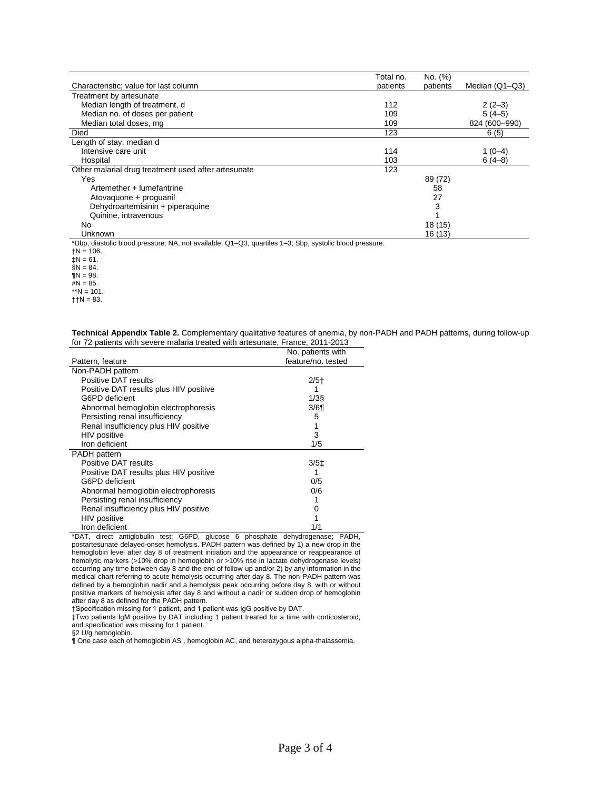|                                                                                                                       | Total no. | No. (%)  |                |
|-----------------------------------------------------------------------------------------------------------------------|-----------|----------|----------------|
| Characteristic; value for last column                                                                                 | patients  | patients | Median (Q1-Q3) |
| Treatment by artesunate                                                                                               |           |          |                |
| Median length of treatment, d                                                                                         | 112       |          | $2(2-3)$       |
| Median no. of doses per patient                                                                                       | 109       |          | $5(4-5)$       |
| Median total doses, mg                                                                                                | 109       |          | 824 (600-990)  |
| Died                                                                                                                  | 123       |          | 6(5)           |
| Length of stay, median d                                                                                              |           |          |                |
| Intensive care unit                                                                                                   | 114       |          | 1 (0–4)        |
| Hospital                                                                                                              | 103       |          | $6(4-8)$       |
| Other malarial drug treatment used after artesunate                                                                   | 123       |          |                |
| Yes                                                                                                                   |           | 89 (72)  |                |
| Artemether + lumefantrine                                                                                             |           | 58       |                |
| Atovaquone + proguanil                                                                                                |           | 27       |                |
| Dehydroartemisinin + piperaquine                                                                                      |           | 3        |                |
| Quinine, intravenous                                                                                                  |           |          |                |
| No.                                                                                                                   |           | 18 (15)  |                |
| Unknown                                                                                                               |           | 16 (13)  |                |
| *Dbp, diastolic blood pressure; NA, not available; Q1–Q3, quartiles 1–3; Sbp, systolic blood pressure.<br>$+N = 106.$ |           |          |                |

 $\ddagger$ N = 61. §N = 84.

 $\mathbb{N} = 98$ . #N = 85.

\*\*N = 101.

 $+1N = 83$ .

| Technical Appendix Table 2. Complementary qualitative features of anemia, by non-PADH and PADH patterns, during follow-up |  |  |
|---------------------------------------------------------------------------------------------------------------------------|--|--|
| for 72 patients with severe malaria treated with artesunate, France, 2011-2013                                            |  |  |

|                                        | No. patients with  |
|----------------------------------------|--------------------|
| Pattern, feature                       | feature/no. tested |
| Non-PADH pattern                       |                    |
| Positive DAT results                   | $2/5$ <sup>+</sup> |
| Positive DAT results plus HIV positive |                    |
| G6PD deficient                         | $1/3$ §            |
| Abnormal hemoglobin electrophoresis    | 3/6                |
| Persisting renal insufficiency         | 5                  |
| Renal insufficiency plus HIV positive  |                    |
| HIV positive                           | 3                  |
| Iron deficient                         | 1/5                |
| <b>PADH</b> pattern                    |                    |
| Positive DAT results                   | 3/5 <sup>±</sup>   |
| Positive DAT results plus HIV positive |                    |
| G6PD deficient                         | 0/5                |
| Abnormal hemoglobin electrophoresis    | 0/6                |
| Persisting renal insufficiency         |                    |
| Renal insufficiency plus HIV positive  | 0                  |
| HIV positive                           |                    |
| Iron deficient                         | 1/1                |

\*DAT, direct antiglobulin test; G6PD, glucose 6 phosphate dehydrogenase; PADH, postartesunate delayed-onset hemolysis. PADH pattern was defined by 1) a new drop in the hemoglobin level after day 8 of treatment initiation and the appearance or reappearance of hemolytic markers (>10% drop in hemoglobin or >10% rise in lactate dehydrogenase levels) occurring any time between day 8 and the end of follow-up and/or 2) by any information in the medical chart referring to acute hemolysis occurring after day 8. The non-PADH pattern was defined by a hemoglobin nadir and a hemolysis peak occurring before day 8, with or without positive markers of hemolysis after day 8 and without a nadir or sudden drop of hemoglobin after day 8 as defined for the PADH pattern.

†Specification missing for 1 patient, and 1 patient was IgG positive by DAT.

‡Two patients IgM positive by DAT including 1 patient treated for a time with corticosteroid, and specification was missing for 1 patient.

§2 U/g hemoglobin.

¶ One case each of hemoglobin AS , hemoglobin AC, and heterozygous alpha-thalassemia.